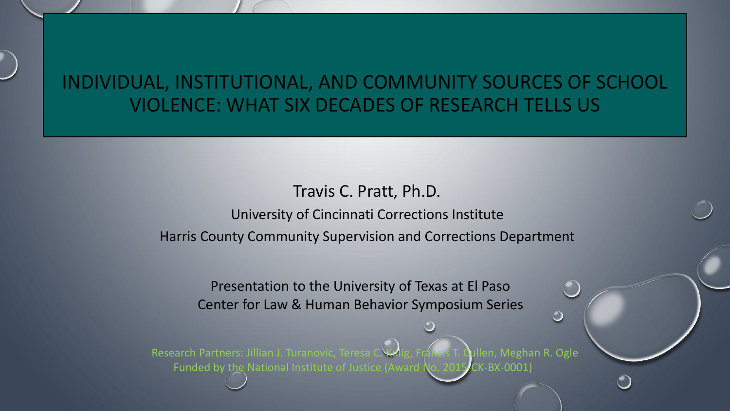### INDIVIDUAL, INSTITUTIONAL, AND COMMUNITY SOURCES OF SCHOOL VIOLENCE: WHAT SIX DECADES OF RESEARCH TELLS US

#### Travis C. Pratt, Ph.D.

University of Cincinnati Corrections Institute Harris County Community Supervision and Corrections Department

Presentation to the University of Texas at El Paso Center for Law & Human Behavior Symposium Series

Research Partners: Jillian J. Turanovic, Teresa C. Kulig, Francis T. Qullen, Meghan R. Ogle Funded by the National Institute of Justice (Award No. 2015-CK-BX-0001)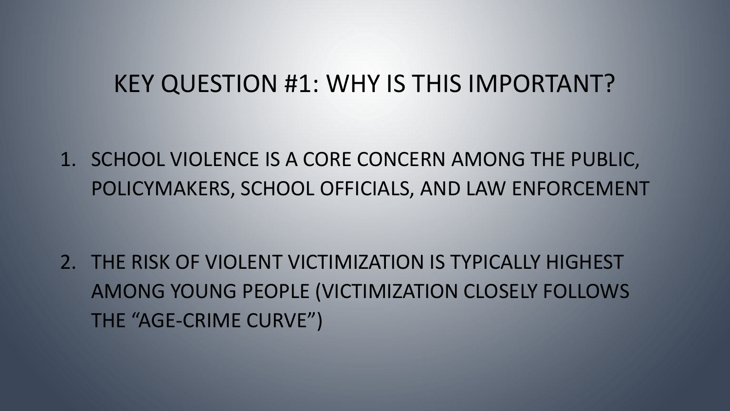1. SCHOOL VIOLENCE IS A CORE CONCERN AMONG THE PUBLIC, POLICYMAKERS, SCHOOL OFFICIALS, AND LAW ENFORCEMENT

2. THE RISK OF VIOLENT VICTIMIZATION IS TYPICALLY HIGHEST AMONG YOUNG PEOPLE (VICTIMIZATION CLOSELY FOLLOWS THE "AGE-CRIME CURVE")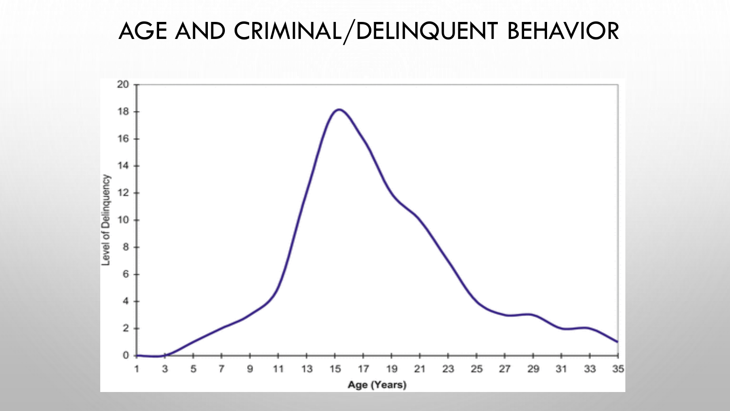# AGE AND CRIMINAL/DELINQUENT BEHAVIOR

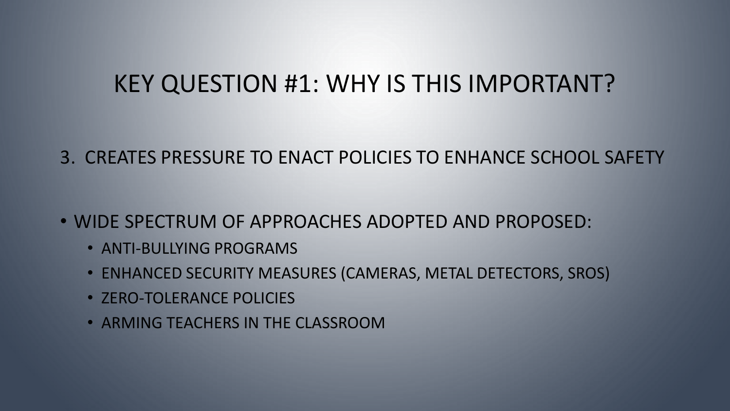### 3. CREATES PRESSURE TO ENACT POLICIES TO ENHANCE SCHOOL SAFETY

- WIDE SPECTRUM OF APPROACHES ADOPTED AND PROPOSED:
	- ANTI-BULLYING PROGRAMS
	- ENHANCED SECURITY MEASURES (CAMERAS, METAL DETECTORS, SROS)
	- ZERO-TOLERANCE POLICIES
	- ARMING TEACHERS IN THE CLASSROOM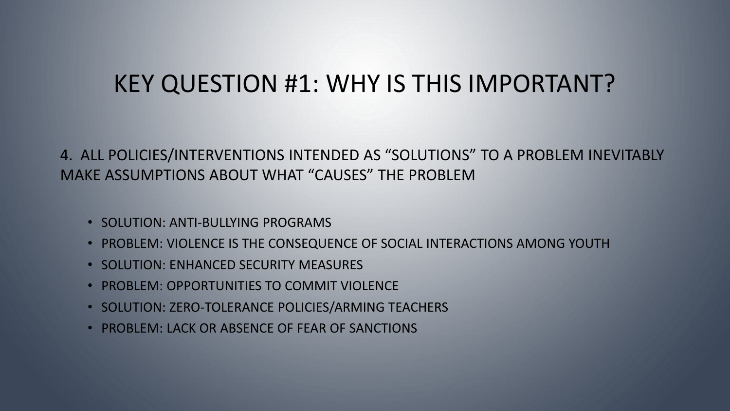#### 4. ALL POLICIES/INTERVENTIONS INTENDED AS "SOLUTIONS" TO A PROBLEM INEVITABLY MAKE ASSUMPTIONS ABOUT WHAT "CAUSES" THE PROBLEM

- SOLUTION: ANTI-BULLYING PROGRAMS
- PROBLEM: VIOLENCE IS THE CONSEQUENCE OF SOCIAL INTERACTIONS AMONG YOUTH
- SOLUTION: ENHANCED SECURITY MEASURES
- PROBLEM: OPPORTUNITIES TO COMMIT VIOLENCE
- SOLUTION: ZERO-TOLERANCE POLICIES/ARMING TEACHERS
- PROBLEM: LACK OR ABSENCE OF FEAR OF SANCTIONS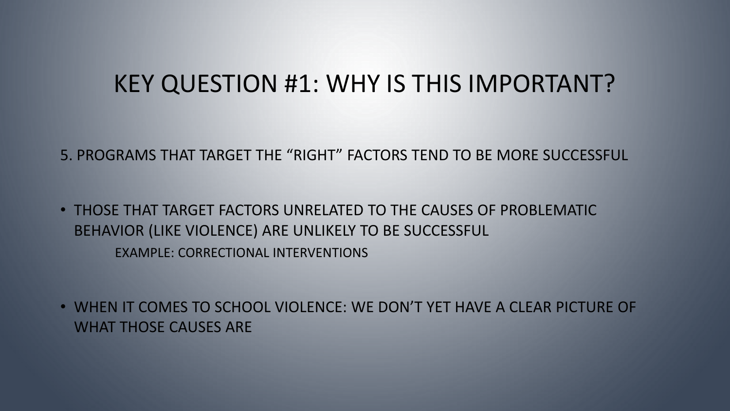5. PROGRAMS THAT TARGET THE "RIGHT" FACTORS TEND TO BE MORE SUCCESSFUL

• THOSE THAT TARGET FACTORS UNRELATED TO THE CAUSES OF PROBLEMATIC BEHAVIOR (LIKE VIOLENCE) ARE UNLIKELY TO BE SUCCESSFUL

EXAMPLE: CORRECTIONAL INTERVENTIONS

• WHEN IT COMES TO SCHOOL VIOLENCE: WE DON'T YET HAVE A CLEAR PICTURE OF WHAT THOSE CAUSES ARE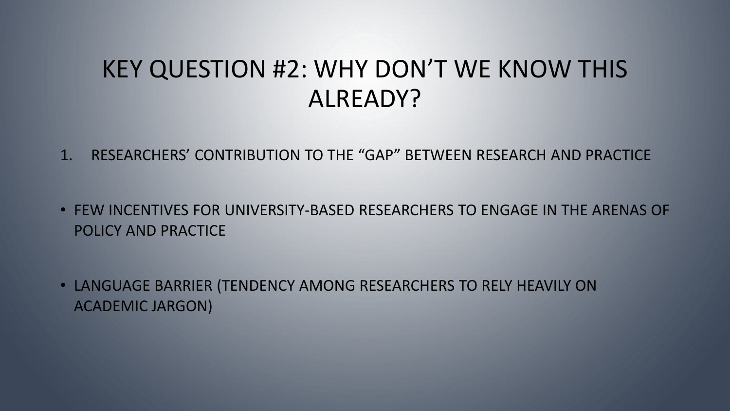## KEY QUESTION #2: WHY DON'T WE KNOW THIS ALREADY?

- 1. RESEARCHERS' CONTRIBUTION TO THE "GAP" BETWEEN RESEARCH AND PRACTICE
- FEW INCENTIVES FOR UNIVERSITY-BASED RESEARCHERS TO ENGAGE IN THE ARENAS OF POLICY AND PRACTICE
- LANGUAGE BARRIER (TENDENCY AMONG RESEARCHERS TO RELY HEAVILY ON ACADEMIC JARGON)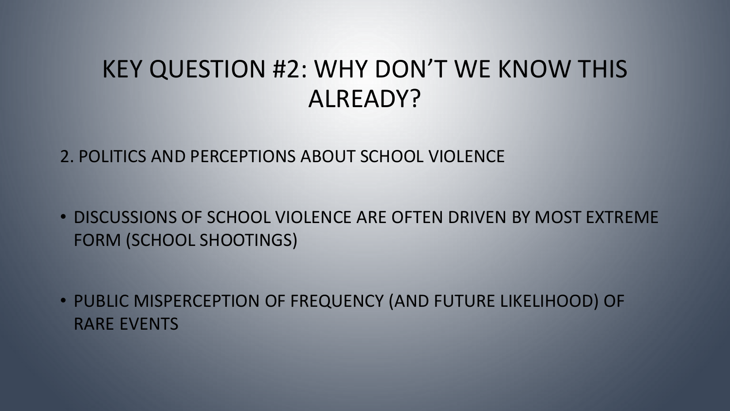## KEY QUESTION #2: WHY DON'T WE KNOW THIS ALREADY?

2. POLITICS AND PERCEPTIONS ABOUT SCHOOL VIOLENCE

• DISCUSSIONS OF SCHOOL VIOLENCE ARE OFTEN DRIVEN BY MOST EXTREME FORM (SCHOOL SHOOTINGS)

• PUBLIC MISPERCEPTION OF FREQUENCY (AND FUTURE LIKELIHOOD) OF RARE EVENTS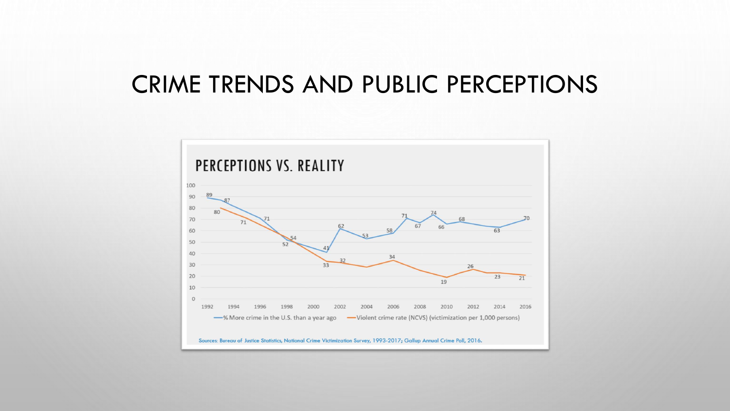### CRIME TRENDS AND PUBLIC PERCEPTIONS

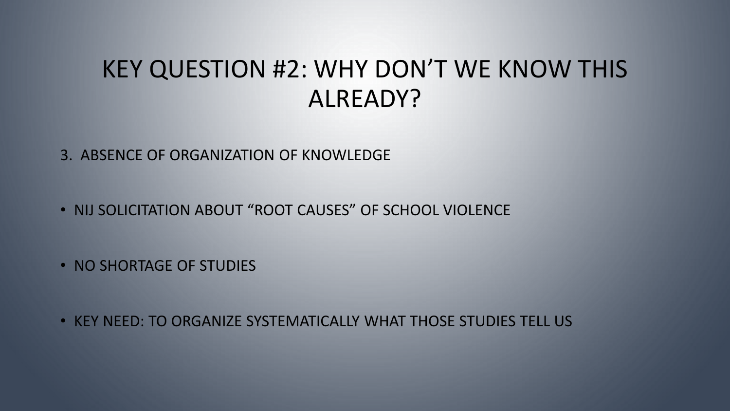## KEY QUESTION #2: WHY DON'T WE KNOW THIS ALREADY?

3. ABSENCE OF ORGANIZATION OF KNOWLEDGE

• NIJ SOLICITATION ABOUT "ROOT CAUSES" OF SCHOOL VIOLENCE

• NO SHORTAGE OF STUDIES

• KEY NEED: TO ORGANIZE SYSTEMATICALLY WHAT THOSE STUDIES TELL US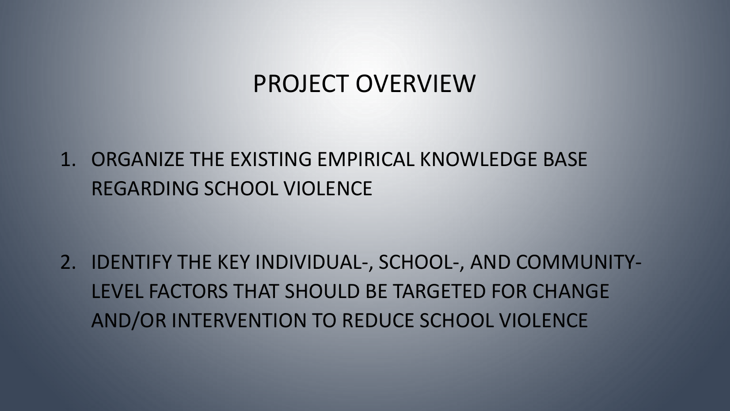### PROJECT OVERVIEW

1. ORGANIZE THE EXISTING EMPIRICAL KNOWLEDGE BASE REGARDING SCHOOL VIOLENCE

2. IDENTIFY THE KEY INDIVIDUAL-, SCHOOL-, AND COMMUNITY-LEVEL FACTORS THAT SHOULD BE TARGETED FOR CHANGE AND/OR INTERVENTION TO REDUCE SCHOOL VIOLENCE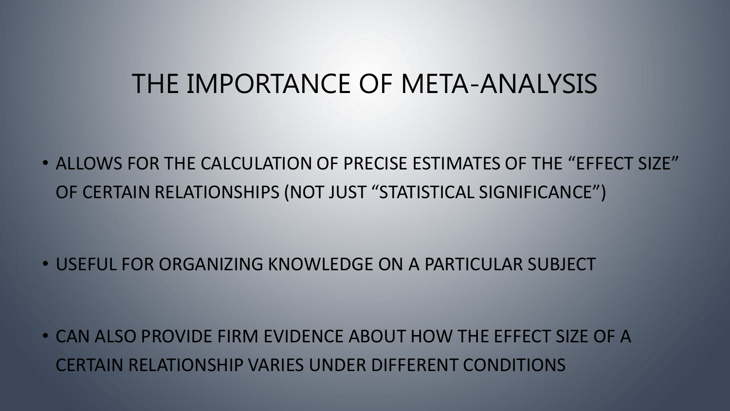# THE IMPORTANCE OF META-ANALYSIS

• ALLOWS FOR THE CALCULATION OF PRECISE ESTIMATES OF THE "EFFECT SIZE" OF CERTAIN RELATIONSHIPS (NOT JUST "STATISTICAL SIGNIFICANCE")

• USEFUL FOR ORGANIZING KNOWLEDGE ON A PARTICULAR SUBJECT

• CAN ALSO PROVIDE FIRM EVIDENCE ABOUT HOW THE EFFECT SIZE OF A CERTAIN RELATIONSHIP VARIES UNDER DIFFERENT CONDITIONS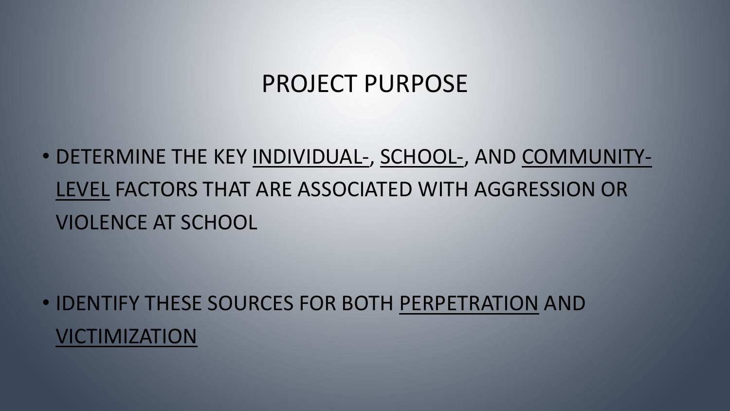### PROJECT PURPOSE

• DETERMINE THE KEY INDIVIDUAL-, SCHOOL-, AND COMMUNITY-LEVEL FACTORS THAT ARE ASSOCIATED WITH AGGRESSION OR VIOLENCE AT SCHOOL

• IDENTIFY THESE SOURCES FOR BOTH PERPETRATION AND VICTIMIZATION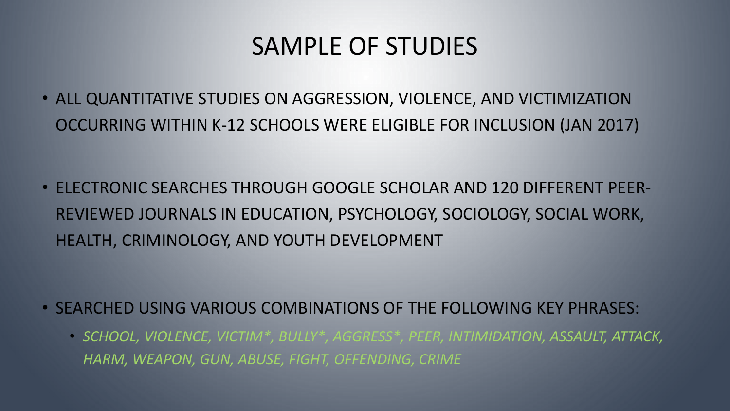### SAMPLE OF STUDIES

• ALL QUANTITATIVE STUDIES ON AGGRESSION, VIOLENCE, AND VICTIMIZATION OCCURRING WITHIN K-12 SCHOOLS WERE ELIGIBLE FOR INCLUSION (JAN 2017)

• ELECTRONIC SEARCHES THROUGH GOOGLE SCHOLAR AND 120 DIFFERENT PEER-REVIEWED JOURNALS IN EDUCATION, PSYCHOLOGY, SOCIOLOGY, SOCIAL WORK, HEALTH, CRIMINOLOGY, AND YOUTH DEVELOPMENT

- SEARCHED USING VARIOUS COMBINATIONS OF THE FOLLOWING KEY PHRASES:
	- *SCHOOL, VIOLENCE, VICTIM\*, BULLY\*, AGGRESS\*, PEER, INTIMIDATION, ASSAULT, ATTACK, HARM, WEAPON, GUN, ABUSE, FIGHT, OFFENDING, CRIME*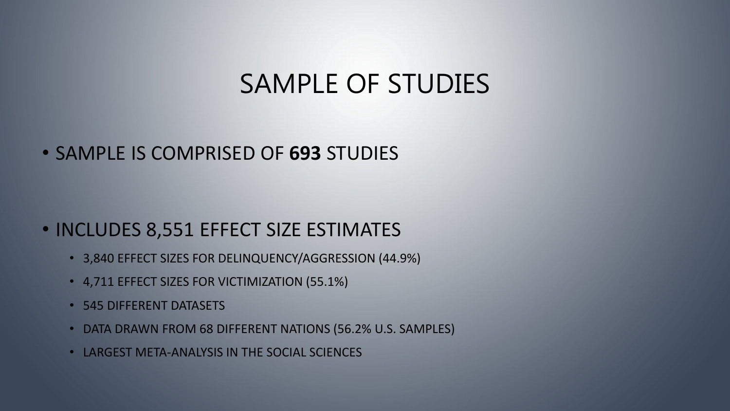# SAMPLE OF STUDIES

### • SAMPLE IS COMPRISED OF **693** STUDIES

### • INCLUDES 8,551 EFFECT SIZE ESTIMATES

- 3,840 EFFECT SIZES FOR DELINQUENCY/AGGRESSION (44.9%)
- 4,711 EFFECT SIZES FOR VICTIMIZATION (55.1%)
- 545 DIFFERENT DATASETS
- DATA DRAWN FROM 68 DIFFERENT NATIONS (56.2% U.S. SAMPLES)
- LARGEST META-ANALYSIS IN THE SOCIAL SCIENCES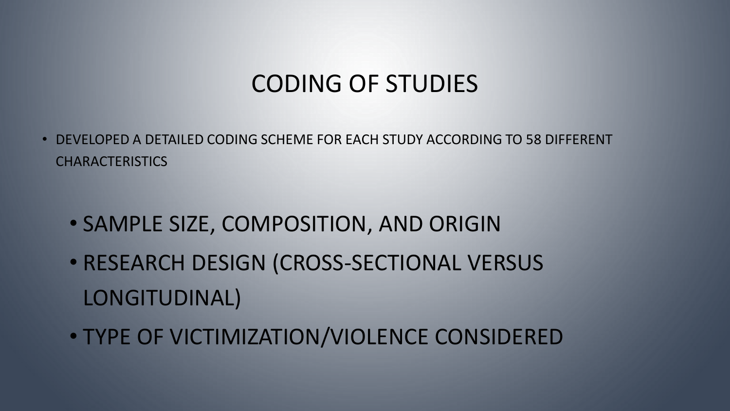• DEVELOPED A DETAILED CODING SCHEME FOR EACH STUDY ACCORDING TO 58 DIFFERENT CHARACTERISTICS

- SAMPLE SIZE, COMPOSITION, AND ORIGIN
- RESEARCH DESIGN (CROSS-SECTIONAL VERSUS LONGITUDINAL)
- TYPE OF VICTIMIZATION/VIOLENCE CONSIDERED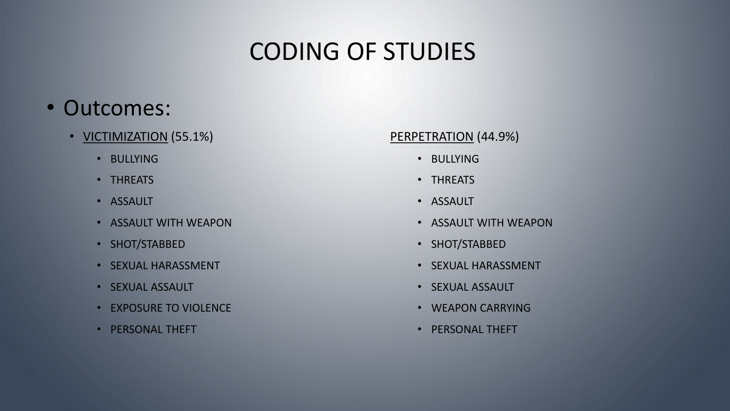### • Outcomes:

- **VICTIMIZATION** (55.1%)
	- BULLYING
	- THREATS
	- ASSAULT
	- ASSAULT WITH WEAPON
	- SHOT/STABBED
	- SEXUAL HARASSMENT
	- SEXUAL ASSAULT
	- EXPOSURE TO VIOLENCE
	- PERSONAL THEFT

#### PERPETRATION (44.9%)

- BULLYING
- THREATS
- ASSAULT
- ASSAULT WITH WEAPON
- SHOT/STABBED
- SEXUAL HARASSMENT
- SEXUAL ASSAULT
- WEAPON CARRYING
- PERSONAL THEFT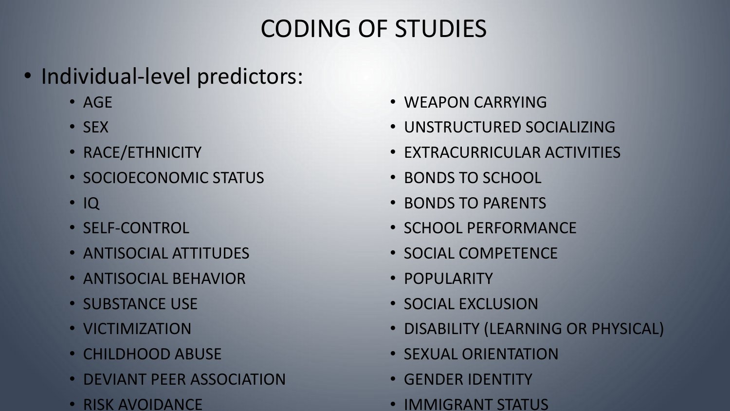- Individual-level predictors:
	- AGE
	- SEX
	- RACE/ETHNICITY
	- SOCIOECONOMIC STATUS
	- IQ
	- SELF-CONTROL
	- ANTISOCIAL ATTITUDES
	- ANTISOCIAL BEHAVIOR
	- SUBSTANCE USE
	- VICTIMIZATION
	- CHILDHOOD ABUSE
	- DEVIANT PEER ASSOCIATION
	- RISK AVOIDANCE
- WEAPON CARRYING
- UNSTRUCTURED SOCIALIZING
- EXTRACURRICULAR ACTIVITIES
- BONDS TO SCHOOL
- BONDS TO PARENTS
- SCHOOL PERFORMANCE
- SOCIAL COMPETENCE
- POPULARITY
- SOCIAL EXCLUSION
- DISABILITY (LEARNING OR PHYSICAL)
- SEXUAL ORIENTATION
- GENDER IDENTITY
- IMMIGRANT STATUS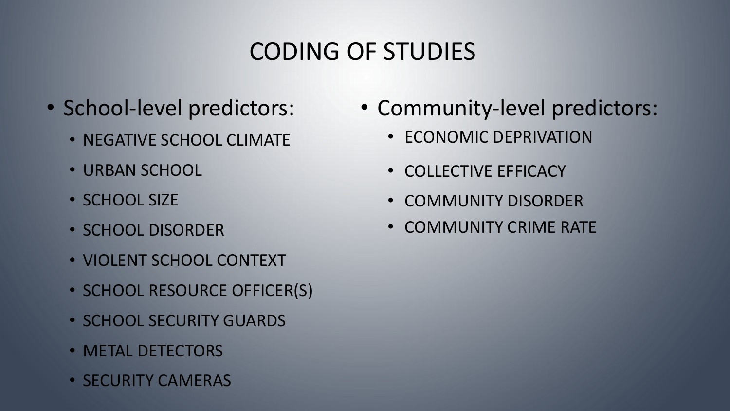- - NEGATIVE SCHOOL CLIMATE
	- URBAN SCHOOL
	- SCHOOL SIZE
	- SCHOOL DISORDER
	- VIOLENT SCHOOL CONTEXT
	- SCHOOL RESOURCE OFFICER(S)
	- SCHOOL SECURITY GUARDS
	- METAL DETECTORS
	- SECURITY CAMERAS
- School-level predictors: Community-level predictors:
	- ECONOMIC DEPRIVATION
	- COLLECTIVE EFFICACY
	- COMMUNITY DISORDER
	- COMMUNITY CRIME RATE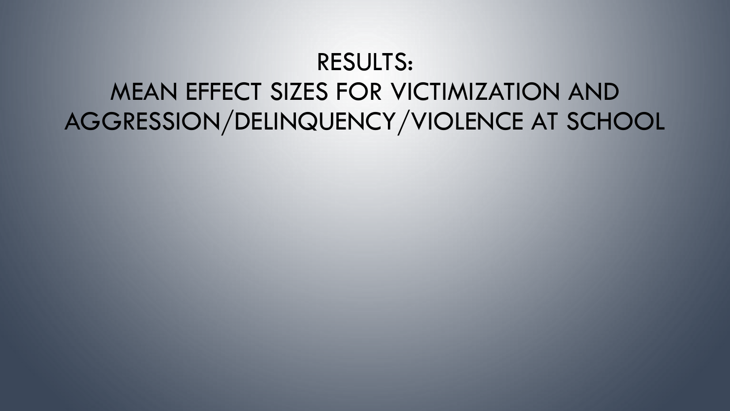# RESULTS: MEAN EFFECT SIZES FOR VICTIMIZATION AND AGGRESSION/DELINQUENCY/VIOLENCE AT SCHOOL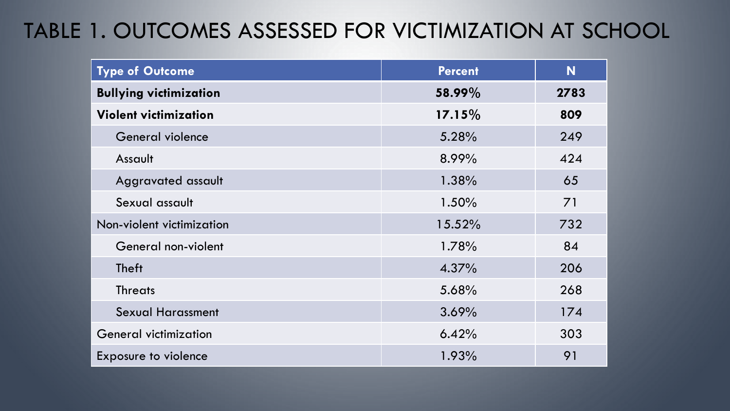### TABLE 1. OUTCOMES ASSESSED FOR VICTIMIZATION AT SCHOOL

| <b>Type of Outcome</b>        | <b>Percent</b> | N    |
|-------------------------------|----------------|------|
| <b>Bullying victimization</b> | 58.99%         | 2783 |
| <b>Violent victimization</b>  | $17.15\%$      | 809  |
| General violence              | 5.28%          | 249  |
| Assault                       | 8.99%          | 424  |
| Aggravated assault            | 1.38%          | 65   |
| Sexual assault                | 1.50%          | 71   |
| Non-violent victimization     | 15.52%         | 732  |
| General non-violent           | 1.78%          | 84   |
| <b>Theft</b>                  | 4.37%          | 206  |
| <b>Threats</b>                | 5.68%          | 268  |
| <b>Sexual Harassment</b>      | 3.69%          | 174  |
| <b>General victimization</b>  | 6.42%          | 303  |
| <b>Exposure to violence</b>   | 1.93%          | 91   |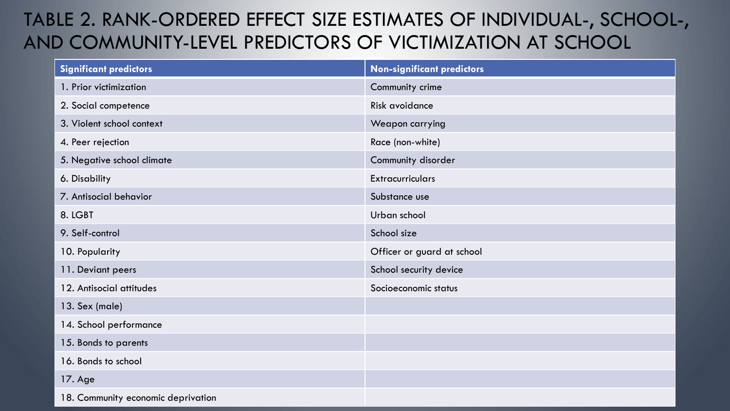### TABLE 2. RANK-ORDERED EFFECT SIZE ESTIMATES OF INDIVIDUAL-, SCHOOL-, AND COMMUNITY-LEVEL PREDICTORS OF VICTIMIZATION AT SCHOOL

| <b>Significant predictors</b>      | <b>Non-significant predictors</b> |
|------------------------------------|-----------------------------------|
| 1. Prior victimization             | Community crime                   |
| 2. Social competence               | Risk avoidance                    |
| 3. Violent school context          | Weapon carrying                   |
| 4. Peer rejection                  | Race (non-white)                  |
| 5. Negative school climate         | Community disorder                |
| 6. Disability                      | <b>Extracurriculars</b>           |
| 7. Antisocial behavior             | Substance use                     |
| 8. LGBT                            | Urban school                      |
| 9. Self-control                    | School size                       |
| 10. Popularity                     | Officer or guard at school        |
| 11. Deviant peers                  | School security device            |
| 12. Antisocial attitudes           | Socioeconomic status              |
| 13. Sex (male)                     |                                   |
| 14. School performance             |                                   |
| 15. Bonds to parents               |                                   |
| 16. Bonds to school                |                                   |
| 17. Age                            |                                   |
| 18. Community economic deprivation |                                   |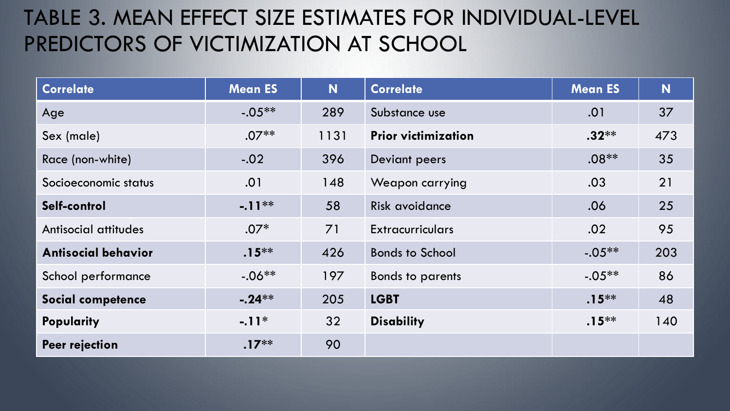### TABLE 3. MEAN EFFECT SIZE ESTIMATES FOR INDIVIDUAL-LEVEL PREDICTORS OF VICTIMIZATION AT SCHOOL

| <b>Correlate</b>           | <b>Mean ES</b> | N    | <b>Correlate</b>           | <b>Mean ES</b> | N   |
|----------------------------|----------------|------|----------------------------|----------------|-----|
| Age                        | $-.05**$       | 289  | Substance use              | .01            | 37  |
| Sex (male)                 | $.07**$        | 1131 | <b>Prior victimization</b> | $.32***$       | 473 |
| Race (non-white)           | $-.02$         | 396  | Deviant peers              | $.08**$        | 35  |
| Socioeconomic status       | .01            | 148  | Weapon carrying            | .03            | 21  |
| Self-control               | $-11**$        | 58   | Risk avoidance             | .06            | 25  |
| Antisocial attitudes       | $.07*$         | 71   | <b>Extracurriculars</b>    | .02            | 95  |
| <b>Antisocial behavior</b> | $.15***$       | 426  | <b>Bonds to School</b>     | $-.05**$       | 203 |
| School performance         | $-.06**$       | 197  | <b>Bonds to parents</b>    | $-.05**$       | 86  |
| Social competence          | $-.24**$       | 205  | <b>LGBT</b>                | $.15***$       | 48  |
| Popularity                 | $-.11*$        | 32   | <b>Disability</b>          | $.15***$       | 140 |
| Peer rejection             | $.17***$       | 90   |                            |                |     |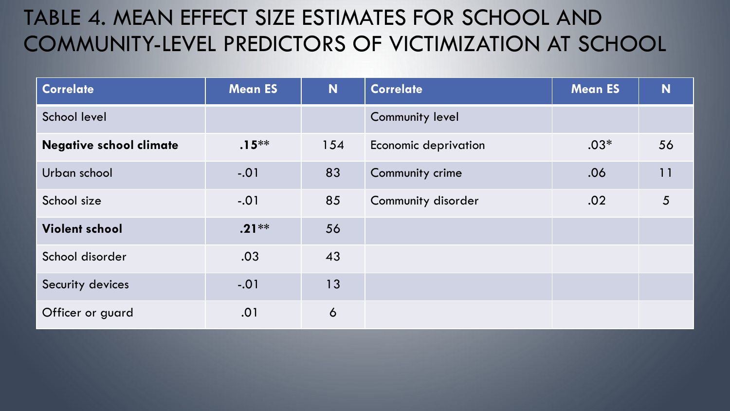### TABLE 4. MEAN EFFECT SIZE ESTIMATES FOR SCHOOL AND COMMUNITY-LEVEL PREDICTORS OF VICTIMIZATION AT SCHOOL

| <b>Correlate</b>               | <b>Mean ES</b> | N   | <b>Correlate</b>       | <b>Mean ES</b> | N               |
|--------------------------------|----------------|-----|------------------------|----------------|-----------------|
| School level                   |                |     | <b>Community level</b> |                |                 |
| <b>Negative school climate</b> | $.15***$       | 154 | Economic deprivation   | $.03*$         | 56              |
| Urban school                   | $-.01$         | 83  | Community crime        | .06            | 11              |
| School size                    | $-.01$         | 85  | Community disorder     | .02            | $5\overline{)}$ |
| <b>Violent school</b>          | $.21***$       | 56  |                        |                |                 |
| School disorder                | .03            | 43  |                        |                |                 |
| Security devices               | $-.01$         | 13  |                        |                |                 |
| Officer or guard               | .01            | 6   |                        |                |                 |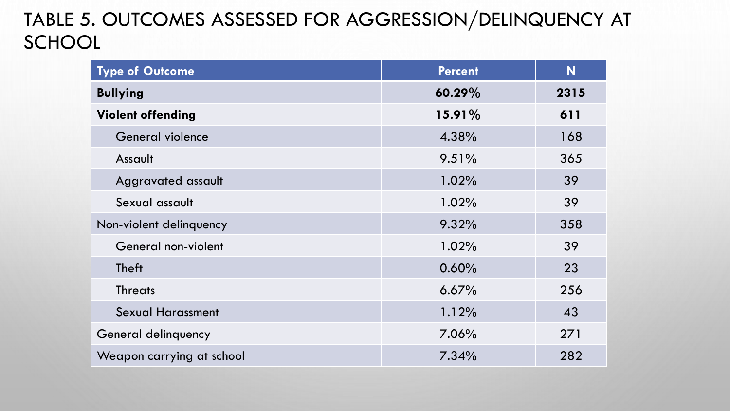### TABLE 5. OUTCOMES ASSESSED FOR AGGRESSION/DELINQUENCY AT **SCHOOL**

| <b>Type of Outcome</b>    | <b>Percent</b> | N    |
|---------------------------|----------------|------|
| <b>Bullying</b>           | $60.29\%$      | 2315 |
| <b>Violent offending</b>  | $15.91\%$      | 611  |
| General violence          | 4.38%          | 168  |
| Assault                   | $9.51\%$       | 365  |
| Aggravated assault        | 1.02%          | 39   |
| Sexual assault            | 1.02%          | 39   |
| Non-violent delinquency   | 9.32%          | 358  |
| General non-violent       | 1.02%          | 39   |
| <b>Theft</b>              | 0.60%          | 23   |
| <b>Threats</b>            | 6.67%          | 256  |
| <b>Sexual Harassment</b>  | 1.12%          | 43   |
| General delinquency       | $7.06\%$       | 271  |
| Weapon carrying at school | 7.34%          | 282  |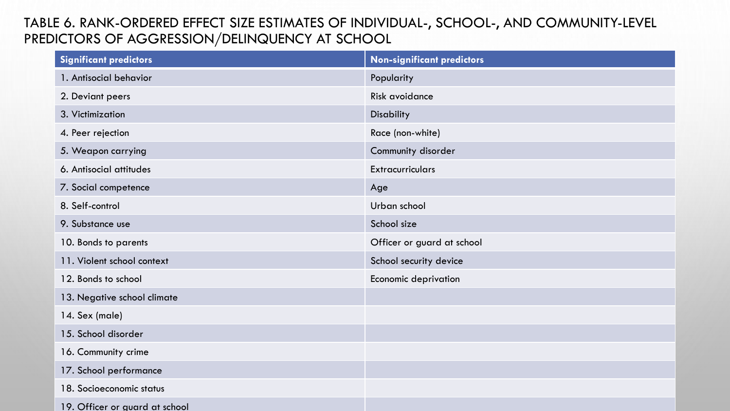#### TABLE 6. RANK-ORDERED EFFECT SIZE ESTIMATES OF INDIVIDUAL-, SCHOOL-, AND COMMUNITY-LEVEL PREDICTORS OF AGGRESSION/DELINQUENCY AT SCHOOL

| <b>Significant predictors</b>  | <b>Non-significant predictors</b> |
|--------------------------------|-----------------------------------|
| 1. Antisocial behavior         | Popularity                        |
| 2. Deviant peers               | Risk avoidance                    |
| 3. Victimization               | Disability                        |
| 4. Peer rejection              | Race (non-white)                  |
| 5. Weapon carrying             | Community disorder                |
| 6. Antisocial attitudes        | <b>Extracurriculars</b>           |
| 7. Social competence           | Age                               |
| 8. Self-control                | Urban school                      |
| 9. Substance use               | School size                       |
| 10. Bonds to parents           | Officer or guard at school        |
| 11. Violent school context     | School security device            |
| 12. Bonds to school            | Economic deprivation              |
| 13. Negative school climate    |                                   |
| 14. Sex (male)                 |                                   |
| 15. School disorder            |                                   |
| 16. Community crime            |                                   |
| 17. School performance         |                                   |
| 18. Socioeconomic status       |                                   |
| 19. Officer or guard at school |                                   |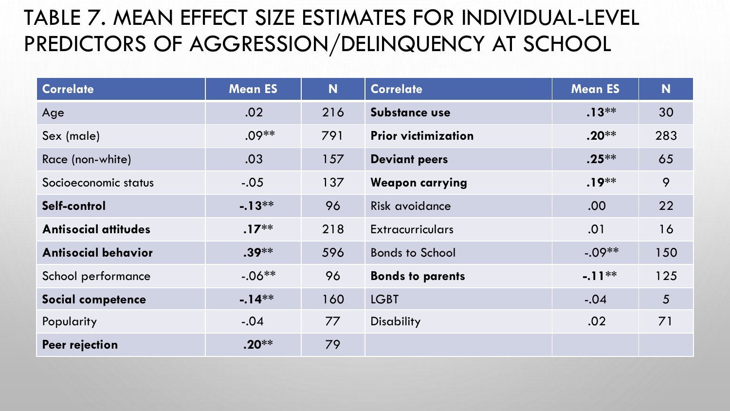### TABLE 7. MEAN EFFECT SIZE ESTIMATES FOR INDIVIDUAL-LEVEL PREDICTORS OF AGGRESSION/DELINQUENCY AT SCHOOL

| <b>Correlate</b>            | <b>Mean ES</b> | N   | <b>Correlate</b>           | <b>Mean ES</b> | N              |
|-----------------------------|----------------|-----|----------------------------|----------------|----------------|
| Age                         | .02            | 216 | Substance use              | $.13***$       | 30             |
| Sex (male)                  | $.09**$        | 791 | <b>Prior victimization</b> | $.20**$        | 283            |
| Race (non-white)            | .03            | 157 | <b>Deviant peers</b>       | $.25***$       | 65             |
| Socioeconomic status        | $-.05$         | 137 | <b>Weapon carrying</b>     | $.19***$       | 9              |
| Self-control                | $-.13**$       | 96  | Risk avoidance             | .00.           | 22             |
| <b>Antisocial attitudes</b> | $.17***$       | 218 | <b>Extracurriculars</b>    | .01            | 16             |
| <b>Antisocial behavior</b>  | $.39***$       | 596 | <b>Bonds to School</b>     | $-.09**$       | 150            |
| School performance          | $-.06**$       | 96  | <b>Bonds to parents</b>    | $-.11**$       | 125            |
| Social competence           | $-.14**$       | 160 | <b>LGBT</b>                | $-.04$         | 5 <sup>5</sup> |
| Popularity                  | $-.04$         | 77  | <b>Disability</b>          | .02            | 71             |
| Peer rejection              | $.20**$        | 79  |                            |                |                |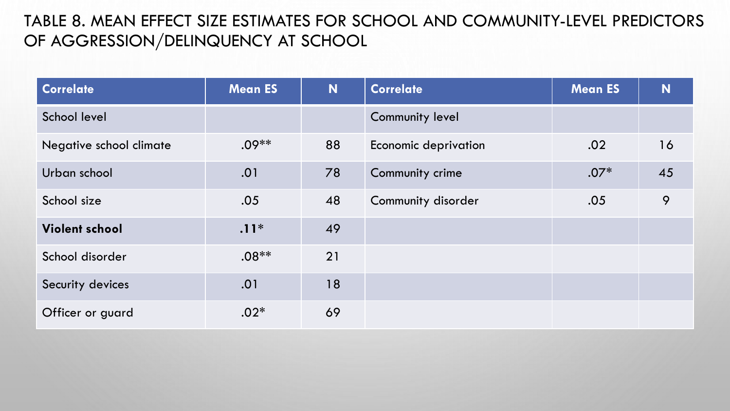#### TABLE 8. MEAN EFFECT SIZE ESTIMATES FOR SCHOOL AND COMMUNITY-LEVEL PREDICTORS OF AGGRESSION/DELINQUENCY AT SCHOOL

| <b>Correlate</b>        | <b>Mean ES</b> | N  | <b>Correlate</b>            | <b>Mean ES</b> | N  |
|-------------------------|----------------|----|-----------------------------|----------------|----|
| School level            |                |    | <b>Community level</b>      |                |    |
| Negative school climate | $.09**$        | 88 | <b>Economic deprivation</b> | .02            | 16 |
| Urban school            | .01            | 78 | Community crime             | $.07*$         | 45 |
| School size             | .05            | 48 | Community disorder          | .05            | 9  |
| <b>Violent school</b>   | $.11*$         | 49 |                             |                |    |
| School disorder         | $.08**$        | 21 |                             |                |    |
| Security devices        | .01            | 18 |                             |                |    |
| Officer or guard        | $.02*$         | 69 |                             |                |    |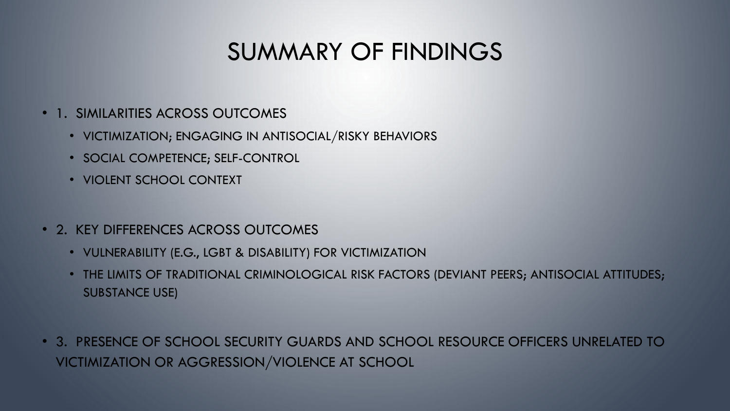## SUMMARY OF FINDINGS

- 1. SIMILARITIES ACROSS OUTCOMES
	- VICTIMIZATION; ENGAGING IN ANTISOCIAL/RISKY BEHAVIORS
	- SOCIAL COMPETENCE; SELF-CONTROL
	- VIOLENT SCHOOL CONTEXT
- 2. KEY DIFFERENCES ACROSS OUTCOMES
	- VULNERABILITY (E.G., LGBT & DISABILITY) FOR VICTIMIZATION
	- THE LIMITS OF TRADITIONAL CRIMINOLOGICAL RISK FACTORS (DEVIANT PEERS; ANTISOCIAL ATTITUDES; SUBSTANCE USE)
- 3. PRESENCE OF SCHOOL SECURITY GUARDS AND SCHOOL RESOURCE OFFICERS UNRELATED TO VICTIMIZATION OR AGGRESSION/VIOLENCE AT SCHOOL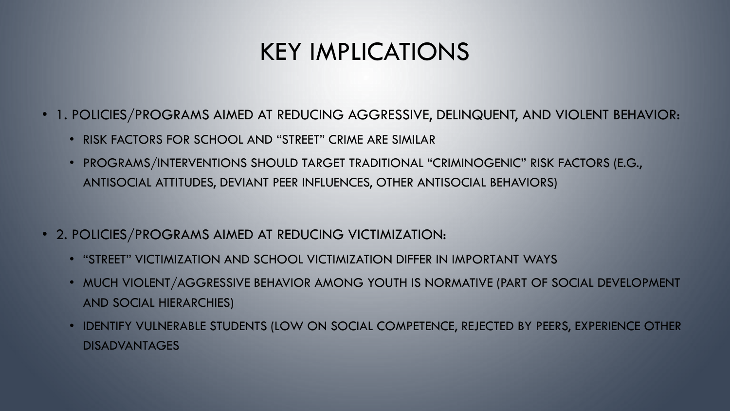## KEY IMPLICATIONS

- 1. POLICIES/PROGRAMS AIMED AT REDUCING AGGRESSIVE, DELINQUENT, AND VIOLENT BEHAVIOR:
	- RISK FACTORS FOR SCHOOL AND "STREET" CRIME ARE SIMILAR
	- PROGRAMS/INTERVENTIONS SHOULD TARGET TRADITIONAL "CRIMINOGENIC" RISK FACTORS (E.G., ANTISOCIAL ATTITUDES, DEVIANT PEER INFLUENCES, OTHER ANTISOCIAL BEHAVIORS)
- 2. POLICIES/PROGRAMS AIMED AT REDUCING VICTIMIZATION:
	- "STREET" VICTIMIZATION AND SCHOOL VICTIMIZATION DIFFER IN IMPORTANT WAYS
	- MUCH VIOLENT/AGGRESSIVE BEHAVIOR AMONG YOUTH IS NORMATIVE (PART OF SOCIAL DEVELOPMENT AND SOCIAL HIERARCHIES)
	- IDENTIFY VULNERABLE STUDENTS (LOW ON SOCIAL COMPETENCE, REJECTED BY PEERS, EXPERIENCE OTHER DISADVANTAGES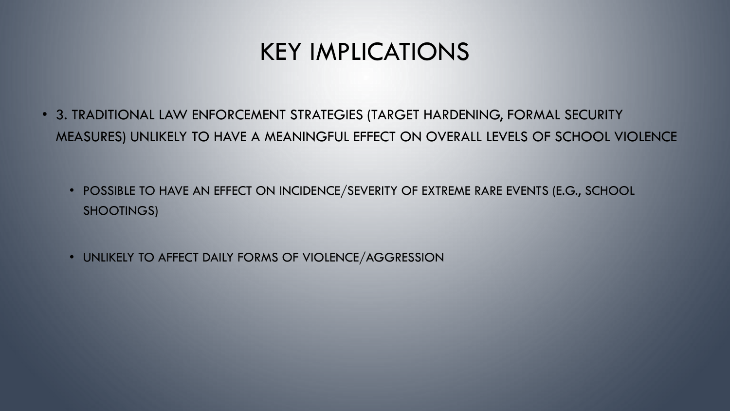## KEY IMPLICATIONS

- 3. TRADITIONAL LAW ENFORCEMENT STRATEGIES (TARGET HARDENING, FORMAL SECURITY MEASURES) UNLIKELY TO HAVE A MEANINGFUL EFFECT ON OVERALL LEVELS OF SCHOOL VIOLENCE
	- POSSIBLE TO HAVE AN EFFECT ON INCIDENCE/SEVERITY OF EXTREME RARE EVENTS (E.G., SCHOOL SHOOTINGS)
	- UNLIKELY TO AFFECT DAILY FORMS OF VIOLENCE/AGGRESSION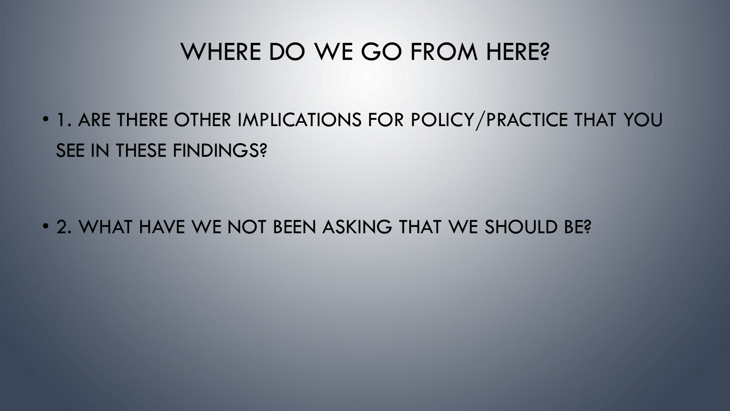### WHERE DO WE GO FROM HERE?

• 1. ARE THERE OTHER IMPLICATIONS FOR POLICY/PRACTICE THAT YOU SEE IN THESE FINDINGS?

• 2. WHAT HAVE WE NOT BEEN ASKING THAT WE SHOULD BE?